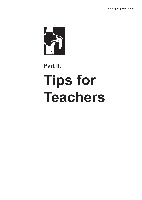

# **Part II.**

# **Tips for Teachers**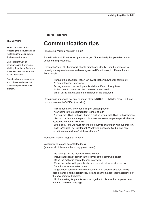#### **IN A NUTSHELL**

Repetition is vital. Keep repeating the instructions and reinforcing the vision behind the homework sheets.

One excellent way of communicating the vision of Walking Together in Faith is to share 'success stories' in the school newsletter.

Seek feedback from parents and children and use this to help refine your homework strategy.

### **Tips for Teachers**

# **Communication tips**

Introducing *Walking Together In Faith*

Repetition is vital. Don't expect parents to 'get it' immediately. People take time to adapt to new procedures.

Explain the 'new R.E. homework sheets' simply and clearly. Then be prepared to repeat your explanation over and over again, in different ways, in different forums. For example:

- Through the newsletter (see 'Part 1. Application: newsletter samples');
- At parent-teacher interviews;
- During informal chats with parents at drop-off and pick-up time;
- In the notes to parents on the homework sheet itself;
- When giving instructions to the children in the classroom.

Repetition is important, not only to impart clear INSTRUCTIONS (the 'how'), but also to communicate the VISION (the 'why'):

- This is about you and your child (not school grades);
- Your home is the most important 'school of faith';
- A loving, faith-filled Catholic Church is built on loving, faith-filled Catholic homes.
- Your faith is important to your child here are some simple steps which may assist you in sharing this faith;
- Life is busy but we must never be too busy to share faith with our children.
- Faith is 'caught', not just taught. What faith messages (verbal and non-

verbal) are our children 'catching' at home?

Monitoring *Walking Together In Faith*

Various ways to seek parental feedback (some or all of these methods may prove useful):

- Do nothing let the feedback come to you!
- Include a feedback section in the corner of the homework sheet.
- Raise the matter in parent-teacher interviews.
- Raise the matter with parents who stop to chat before or after school.
- Send home an evaluation sheet.

• Target a few parents who are representative of different cultures, family circumstances, faith experiences, etc and ask them about their experience of the new homework sheets.

• Hold a meeting for parents to come together to discuss their experience of the R.E. homework strategy.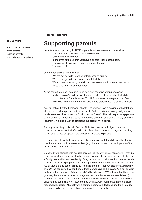# **Supporting parents**

Look for every opportunity to AFFIRM parents in their role as faith educators: You are vital to your child's faith development. God works through you! In the eyes of the Church you have a special, irreplaceable role. You can teach your child like no other teacher can. You can do it!

and to ease them of any anxieties:

We are not going to 'mark' your faith-sharing quality; We are not going to 'pry' into your spiritual life; We just want you and your child to share some precious time together, and to invite God into that time together.

At the same time, don't be afraid to be bold and assertive when necessary: In choosing a Catholic school for your child you chose a school which is committed to a Catholic ethos. This R.E. homework strategy is part of our pledge to live up to our commitment, and to support you, as parent, in yours.

You will notice that the homework sheets in this folder have a section on the left hand side which provides parents with some basic Catholic information (e.g. Why do we celebrate Advent? What are the Stations of the Cross?) This will help to equip parents to talk to their child about the topic (and relieve some parents of the anxiety of feeling 'ignorant'). It is also a way of educating the parents themselves.

The supplementary leaflets in Part IV of this folder are also designed to broaden parental awareness of their Catholic faith. Send them home as 'background reading' for parents; or use snippets in the bulletin or in letters to parents.

If a parent is not available to undertake the homework with the child, another family member can step in. In some exercises (e.g. the family meal) the participation of the whole family unit is desirable.

Be sensitive to families with multiple children - all receiving R.E. homework! It may be more practical, and more spiritually effective, for parents to focus on one activity (e.g. a family meal) with the whole family. Bring this option to their attention. In other words, a child in grade 3 might participate in her grade 5 sister's Advent homework exercise rather than the one set for grade 3. The child shouldn't feel penalised or excluded by this. On the contrary, they can bring a fresh perspective to the class. ('Did anyone join in their brother or sister's Advent activity? What did you do? What was that like?... So you see, there are lots of special things we can do at home to celebrate Advent.') If teachers are aware of the different homework exercises being assigned by different classes they can pick up on these themes and naturally incorporate them into class feedback/discussion. Alternatively, a common homework task assigned to all grades may prove to be more practical and conducive to family unity.

#### **IN A NUTSHELL**

In their role as educators, affirm parents, reassure parents, and challenge appropriately.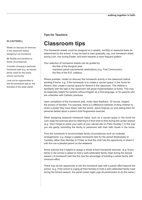### **IN A NUTSHELL**

Model (or discuss) an exercise in the classroom before assigning it as homework.

Be flexible and sensitive to family circumstances.

Consider choosing a particular homework task (e.g. an Advent family meal) for the whole school community.

Look out for opportunities to link the homework task to the activities of the wider parish.

### **Tips for Teachers**

# **Classroom tips**

The homework sheets could be assigned on a weekly, monthly or seasonal basis as determined by the school. It may be best to start gradually, say, one homework sheet during Lent, one during Easter, and work towards a more frequent pattern.

Your selection of homework sheets can be guided by:

the flow of the liturgical year;

important parish sacramental celebrations (e.g. First Communion); the flow of the R.E. syllabus.

Where possible, model (or discuss) the homework activity in the classroom before sending it home. e.g. If the homework is to create a 'sacred space' in the home for Advent, then create a sacred space for Advent in the classroom. The children's familiarity with the task in the classroom will assist implementation at home. This may be especially helpful for parents without English as a first language, or for parents who are unfamiliar with Catholic practices.

Upon completion of the homework task, invite class feedback. Of course, respect the privacy of families. For example, there is a difference between inviting children to share a poster they have drawn with the words 'Jesus forgives us' and asking them for personal details about a parent-child forgiveness exercise.

When assigning seasonal homework tasks, such as a sacred space in the home for Lent, keep the exercise alive by referring to it from time to time during the Lenten season (e.g. 'Don't forget to place your palm at your sacred site on Palm Sunday.') In this way you are gently reminding the family to persevere with their faith rituals in the home.

Time the homework to accommodate family circumstances such as custodial arrangements. e.g. Assign a weekly homework task for the period Wednesday to Tuesday rather than Monday to Friday so that the child has the opportunity to share it with the non-custodial parent on the weekend.

Some schools find it helpful to assign a whole school homework exercise. (e.g. Every family in the school is asked to hold a well-celebrated family meal during the Advent season.) A homework task like this has the advantage of bonding a whole family with minimum effort.

There may be the opportunity to link the homework task with a parish effort beyond the school. (e.g. If the school is urging all their families to hold a well-celebrated family meal during the Advent season, the parish priest might urge all parishioners to do the same.)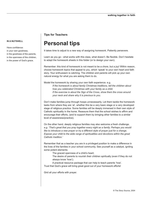# **Personal tips**

It takes time to adjust to a new way of assigning homework. Patiently persevere.

Learn as you go - what works with this class, what doesn't. Be flexible. Don't hesitate to adapt the homework sheets in this folder (or to design your own).

Remember: this kind of homework is not meant to be a chore, but a joy! Within reason, choose homework topics that appeal to you, which 'speak' to your own heart and faith story. Your enthusiasm is catching. The children and parents will pick up your own natural energy for what you are asking them to do.

Model the homework by sharing your own faith experience. e.g.

*If the homework is about family Christmas traditions, tell the children about how you celebrated Christmas with your family as a child. If the exercise is about the Sign of the Cross, show them the cross around your neck and share why it is precious to you.*

Don't make families jump through hoops unnecessarily. Let them tackle the homework tasks from where they are 'at', whether this be a very basic stage or a very developed stage of religious practice. Some families will be deeply immersed in their own style of Catholic spirituality in the home. Reassure them that the school wishes to affirm and encourage their efforts, (and to support them by bringing other families to a similar level of awareness/practice).

On the other hand, deeply religious families may also welcome a fresh challenge. *e.g. 'That's great that you pray together every night as a family. Perhaps you would like to introduce a new prayer or try a different style of prayer just for a change. Expose your child to the wide range of spiritualities and devotions within the great Catholic tradition.'*

Remember that as a teacher you are in a privileged position to make a difference in the lives of the families in your school community. See yourself as a catalyst, igniting some potent elements:

The graced openness of a child's heart;

The desire of parents to nourish their children spiritually (even if they do not always know 'how');

A practical resource package that can help to teach parents 'how'. Trust that God's grace will bring great good out of your homework efforts!

Gird all your efforts with prayer.

#### **IN A NUTSHELL**

Have confidence: in your own goodness, in the goodness of the parents, in the openness of the children, in the power of God's grace.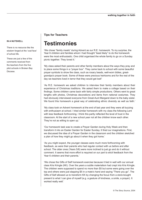#### **IN A NUTSHELL**

There is no resource like the wisdom forged at the 'coal face' of school life.

These are just a few of the comments received from the teachers from the five pilot schools in Broken Bay Diocese.

### **Tips for Teachers**

# **Testimonies**

'We chose "family meals" during Advent as our R.E. homework. To my surprise, the Year 6 children and families whom I had thought "least likely" to do the homework were the most enthusiastic. One child organised the whole family to go on a Sunday picnic together. They loved it.'

'My class asked their parents and other family members about the ways they pray and to place some things in a "prayer box". They came back to school with some beautiful prayer symbols to show the class, such as rosary beads, well-worn bibles, greatgrandpa's prayer book. Some of these were precious heirlooms and for the rest of the day we teachers lived in terror that they would get lost!'

'As R.E. homework we asked children to interview their family members about their experience of Christmas traditions. We asked them to make a collage based on their findings. Some children came back with fairly simple productions. Others went to great lengths with photos, Christmas decorations and items from national costumes. They had obviously interviewed everyone from Great-Aunt Margaret down to the baby sister. We found this homework a great way of celebrating ethnic diversity as well as faith.'

'My class took on Advent homework at the end of last year and they were all buzzing with enthusiasm at school. I tried similar homework with my class the following Lent with less feedback forthcoming. I think this partly reflected the level of trust in the classroom. At the start of a new school year not all the children know each other. They're not as willing to open up.'

'Our homework task was to create a Prayer Garden during Holy Week and then transform it into an Easter Garden for Easter Sunday. It fired our imaginations. First, we discussed the idea of a Prayer Garden in the classroom and the children sketched a plan of how they might go about it when they got home.'

'As you might expect, the younger classes were much more forthcoming with feedback, as were their parents who had regular contact with us before and after school. The older ones (Years 5/6) were more inclined to just go and do it without comment. It seems that more effort is required on our part to elicit feedback from the Year 6 children and their parents.'

'We chose the Gifts of Self homework exercise because it tied in well with our annual class Kris Kringle (KK). Over the years a subtle materialism had crept into Kris Kringle. The children were supposed to spend no more than \$5 but some were going over the top and others were just slapping \$5 in a mate's hand and saying "There you go". The Gifts of Self allowed us to transform KK by changing the focus from a store-bought present to what I can give of myself (e.g. a gesture of kindness, a smile, a prayer). It worked really well.'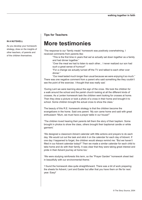## **More testimonies**

'The response to our "family meals" homework was positively overwhelming. I received comments from parents like:

- "This is the first time in years that we've actually sat down together as a family and had dinner together."
- "Over the meal we had to listen to each other... I never realized our son had such a great sense of humour!"
- "For a change we actually turned off the TV and talked to each other over dinner."

"Our meal lasted much longer than usual because we were enjoying it so much." There was one negative comment from a parent who said something like they couldn't see the point of the exercise. I thought that was really sad.'

'During Lent we were learning about the sign of the cross. We took the children for a walk around the school and the parish church looking at all the different kinds of crosses. As a Lenten homework task the children went looking for crosses at home. Then they drew a picture or took a photo of a cross in their home and brought it to school. Some children brought the actual cross to show the class.'

The beauty of this R.E. homework strategy is that the children become the evangelizers in the home. Said one parent: 'My son came home and said with great enthusiasm "Mum, we must have a prayer table in our house!"'

'The children loved hearing their parents tell them the story of their baptism. Some brought in photos to show the class, others brought their baptismal candle or white garment.'

'We designed a classroom Advent calendar with little actions and prayers to do each day. We would cut out the task and stick it on the calendar for each day of Advent. If one day I happened to forget, the children would always remind me: "But we haven't filled in our Advent calendar today!!" Then we made a similar calendar for each child to take home and do with their family. It was clear that they were taking great interest and pride in their Advent journey at home too.'

'We were studying rainforests this term, so the "Prayer Garden" homework sheet tied in beautifully with our environmental theme.'

'I found the homework idea quite straightforward. There was a bit of work preparing the sheets for Advent, Lent and Easter but after that you have them on file for next year. Easy!'

#### **IN A NUTSHELL**

As you develop your homework strategy, draw on the insights of other teachers, of parents and of the children themselves.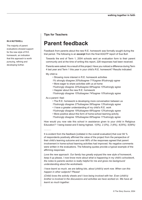# **Parent feedback**

Feedback from parents about the new R.E. homework was formally sought during the trial period. The following is an **excerpt** from the final AGQTP report of Sue Bull:

 Towards the end of Term 1, 2004 schools sent an evaluation form to their parent community and at the time of writing this report, 228 responses had been received.

 Parents were asked: As a result of this project: Have you noticed a difference during Term 4 last year and Term 1 this year in your child's R.E. homework? Results indicated:

My child is:

- Showing more interest in R.E. homework activities
- *1% strongly disagree 20%disagree 71%agree 8%strongly agree*
- More eager to share activities with us at home
- *1%strongly disagree 20%disagree 68%agree 10%strongly agree*
- Happier about the new R.E. homework
- *1%strongly disagree 15%disagree 74%agree 10%strongly agree*

As a parent I feel:

- The R.E. homework is developing more conversation between us
- *1%strongly disagree 27%disagree 59%agree 13%strongly agree*
- I have a greater understanding of my child's R.E. work
- *1%strongly disagree 19%disagree 68%agree 12%strongly agree*
- More positive about this form of home-school learning activity
- *1%strongly disagree 19%disagree 69%agree 11%strongly agree*

How would you now rate this school in assistance given to your child in Religious Education? 1 being lowest and 5 being highest. *1(0%), 2 (0%), 3 (6%), 4(35%), 5(58%)* 

It is evident from the feedback [collated in the overall evaluation] that over 84 % of respondents positively affirmed the value of the project from the perspective of their child's learning outcome and over 86% of the responses agreed that parent involvement in home-school learning activities had improved. No negative comments were written in the evaluations. The following quotes provide a typical example of the affirming responses

*Love the new approach. Our family has greatly enjoyed the new style of homework, keep it up please, I now know more about what is happening in my child's schoolwork, the notes to parents section is really helpful for me and gives me background understanding about the worksheets.*

*I have learnt so much, we are talking lots, about (child's) work now. When can this happen in other subjects? Please!*

*(Child) loves the activity sheets and I love being involved with her. Even (child's) brother is involved in the discussions and activities we have worked on. We have all learnt so much together.*

#### **IN A NUTSHELL**

The majority of parent evaluations showed support for the new style of R.E. homework, an indication that this approach is worth pursuing, refining and developing further.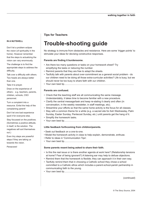# **Trouble-shooting guide**

No strategy is immune from obstacles and resistance. Here are some 'trigger points' to stimulate your ideas for devising constructive responses.

#### **Parents are finding it burdensome.**

- Are there too many questions or tasks on your homework sheet? Try simplifying the tasks or reducing the number.
- Remind parents that they are free to adapt the sheets.
- Tactfully talk with parents about over-commitment as a general social problem do our children need to be doing all those extra-curricular activities? Life is busy, but we should never be too busy to share faith with our children.
- Your own best tip.........................................................................................................

#### **Parents are confused.**

- Check that the teaching staff are all communicating the same message. Understandably, it takes time to become familiar with a new procedure.
- Clarify the central message/task and keep re-stating it clearly and often (in conversation, in the weekly newsletter, in staff meetings, etc).
- Streamline your efforts so that the same home activity is the focus for all classes.
- Stay with a common theme for a while (e.g. a sacred site for Ash Wednesday, Palm Sunday, Easter Sunday, Pentecost Sunday, etc.) until parents get the hang of it.
- Simplify the homework tasks.
- Your own best tip..........................................................................................................

#### **Little feedback forthcoming from children/parents.**

- Seek out feedback on a one-to-one.
- Model the homework activity in class to help explain, demonstrate, enthuse.
- Refer to ideas in 'Communication Tips'.
- Your own best tip..........................................................................................................

#### **Some parents resent being asked to share their faith.**

- Is this the real issue or is there another agenda at work here? (Relationship tensions at home? Fear of being ignorant?) A listening ear may help to defuse objections.
- Remind them that the homework is flexible; they can approach it in their own way.
- Tactfully remind them that in choosing a Catholic school they chose a school committed to a Catholic ethos which includes a parent-school-parish partnership in communicating faith to the young.
- Your own best tip..........................................................................................................

(continued)

#### **IN A NUTSHELL**

Don't let a problem eclipse the vision (of spirituality in the home). However remember that the steps to actualizing the vision can vary enormously.

The challenge is to find the appropriate steps to address the difficulty.

Talk over a difficulty with others. Two heads are always better than one.

Take it to prayer.

Draw on the experience of others - e.g. teachers, parents, children, schools, CSO personnel.

Turn a complaint into a resource. Enlist the help of the complaining parent!

Don't let one bad experience spoil it for everyone else.

Stay focussed on the positives. (Sometimes a positive attitude, in itself, is the solution. The negatives will sort themselves out.)

Even tiny steps are powerful steps if they are taking us towards the vision.

Persevere!